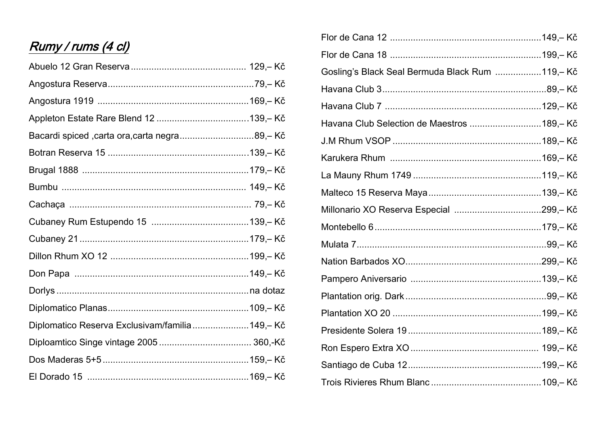# Rumy / rums (4 cl)

| Bacardi spiced ,carta ora,carta negra89,- Kč    |  |
|-------------------------------------------------|--|
|                                                 |  |
|                                                 |  |
|                                                 |  |
|                                                 |  |
|                                                 |  |
|                                                 |  |
|                                                 |  |
|                                                 |  |
|                                                 |  |
|                                                 |  |
| Diplomatico Reserva Exclusivam/familia 149,- Kč |  |
|                                                 |  |
|                                                 |  |
|                                                 |  |

| Gosling's Black Seal Bermuda Black Rum 119,-Kč |  |
|------------------------------------------------|--|
|                                                |  |
|                                                |  |
| Havana Club Selection de Maestros 189,-Kč      |  |
|                                                |  |
|                                                |  |
|                                                |  |
|                                                |  |
|                                                |  |
|                                                |  |
|                                                |  |
|                                                |  |
|                                                |  |
|                                                |  |
|                                                |  |
|                                                |  |
|                                                |  |
|                                                |  |
|                                                |  |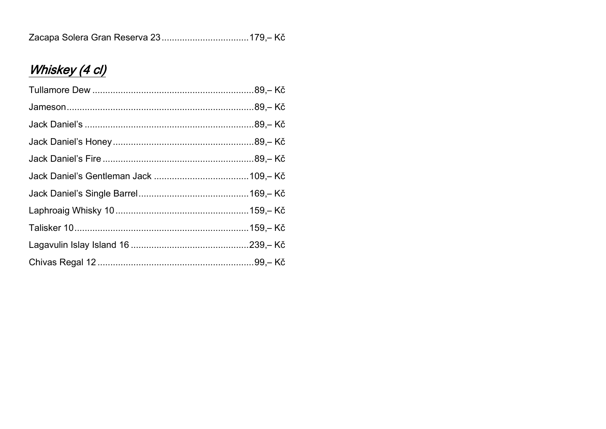|--|--|--|

# Whiskey (4 cl)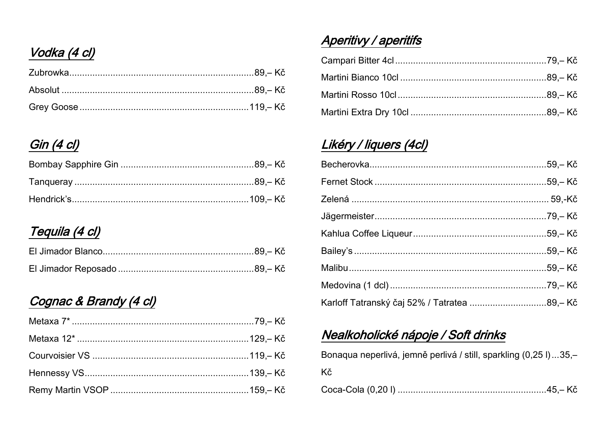# Vodka (4 cl)

#### Gin (4 cl)

## Tequila (4 cl)

### Cognac & Brandy (4 cl)

## Aperitivy / aperitifs

### Likéry / liquers (4cl)

| Karloff Tatranský čaj 52% / Tatratea 89,-Kč |  |
|---------------------------------------------|--|

### Nealkoholické nápoje / Soft drinks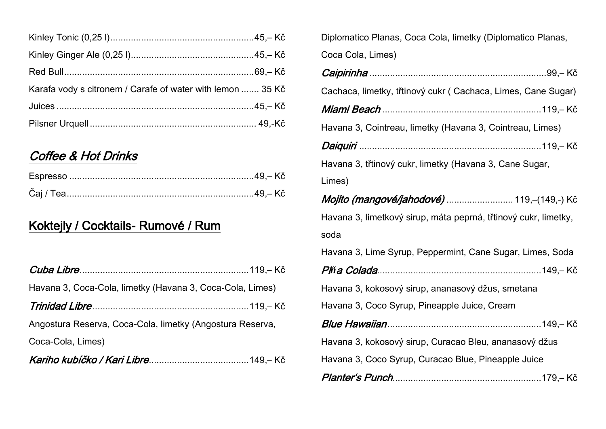| Karafa vody s citronem / Carafe of water with lemon  35 Kč |  |
|------------------------------------------------------------|--|
|                                                            |  |
|                                                            |  |

#### Coffee & Hot Drinks

### Koktejly / Cocktails- Rumové / Rum

| Havana 3, Coca-Cola, limetky (Havana 3, Coca-Cola, Limes) |  |
|-----------------------------------------------------------|--|
|                                                           |  |
| Angostura Reserva, Coca-Cola, limetky (Angostura Reserva, |  |
| Coca-Cola, Limes)                                         |  |
|                                                           |  |

| Diplomatico Planas, Coca Cola, limetky (Diplomatico Planas,  |  |
|--------------------------------------------------------------|--|
| Coca Cola, Limes)                                            |  |
|                                                              |  |
| Cachaca, limetky, třtinový cukr (Cachaca, Limes, Cane Sugar) |  |
|                                                              |  |
| Havana 3, Cointreau, limetky (Havana 3, Cointreau, Limes)    |  |
|                                                              |  |

Daiquiri .......................................................................119,– Kč

Havana 3, třtinový cukr, limetky (Havana 3, Cane Sugar,

Limes)

Mojito (mangové/jahodové) ............................. 119,-(149,-) Kč Havana 3, limetkový sirup, máta peprná, třtinový cukr, limetky, soda Havana 3, Lime Syrup, Peppermint, Cane Sugar, Limes, Soda Pi*ñ*a Colada................................................................149,– Kč

Havana 3, kokosový sirup, ananasový džus, smetana

Havana 3, Coco Syrup, Pineapple Juice, Cream

| Havana 3, kokosový sirup, Curacao Bleu, ananasový džus |  |
|--------------------------------------------------------|--|

Havana 3, Coco Syrup, Curacao Blue, Pineapple Juice

|--|--|--|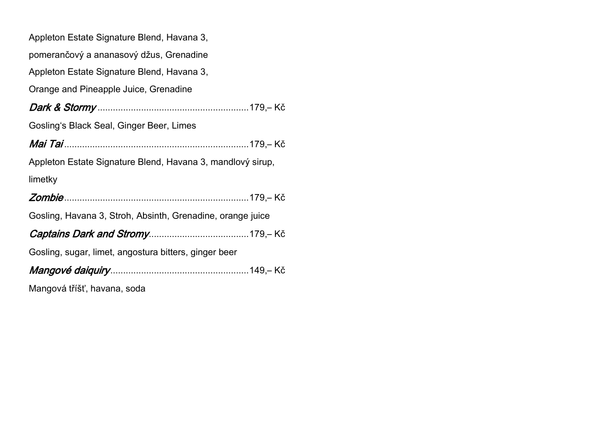|  | Appleton Estate Signature Blend, Havana 3, |  |  |
|--|--------------------------------------------|--|--|
|  |                                            |  |  |

pomerančový a ananasový džus, Grenadine

Appleton Estate Signature Blend, Havana 3,

Orange and Pineapple Juice, Grenadine

| Gosling's Black Seal, Ginger Beer, Limes                   |  |
|------------------------------------------------------------|--|
|                                                            |  |
| Appleton Estate Signature Blend, Havana 3, mandlový sirup, |  |
| limetky                                                    |  |
|                                                            |  |
| Gosling, Havana 3, Stroh, Absinth, Grenadine, orange juice |  |
|                                                            |  |
| Gosling, sugar, limet, angostura bitters, ginger beer      |  |
|                                                            |  |

Mangová tříšť, havana, soda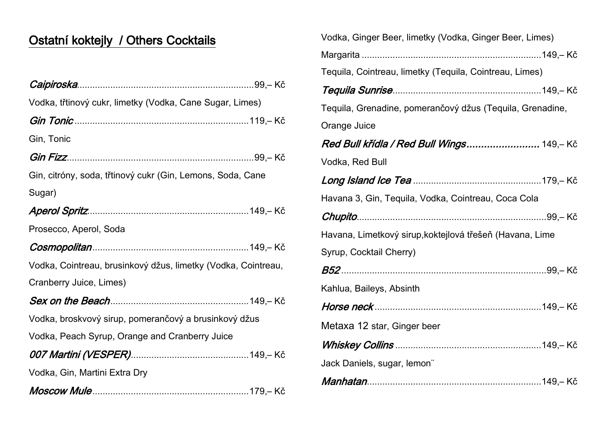## Ostatní koktejly / Others Cocktails

| Vodka, třtinový cukr, limetky (Vodka, Cane Sugar, Limes)      |
|---------------------------------------------------------------|
|                                                               |
| Gin, Tonic                                                    |
|                                                               |
| Gin, citróny, soda, třtinový cukr (Gin, Lemons, Soda, Cane    |
| Sugar)                                                        |
|                                                               |
| Prosecco, Aperol, Soda                                        |
|                                                               |
| Vodka, Cointreau, brusinkový džus, limetky (Vodka, Cointreau, |
| Cranberry Juice, Limes)                                       |
|                                                               |
| Vodka, broskvový sirup, pomerančový a brusinkový džus         |
| Vodka, Peach Syrup, Orange and Cranberry Juice                |
|                                                               |
| Vodka, Gin, Martini Extra Dry                                 |
|                                                               |

| Vodka, Ginger Beer, limetky (Vodka, Ginger Beer, Limes)   |
|-----------------------------------------------------------|
|                                                           |
| Tequila, Cointreau, limetky (Tequila, Cointreau, Limes)   |
|                                                           |
| Tequila, Grenadine, pomerančový džus (Tequila, Grenadine, |
| Orange Juice                                              |
| Red Bull křídla / Red Bull Wings 149,-Kč                  |
| Vodka, Red Bull                                           |
|                                                           |
| Havana 3, Gin, Tequila, Vodka, Cointreau, Coca Cola       |
|                                                           |
|                                                           |
| Havana, Limetkový sirup, koktejlová třešeň (Havana, Lime  |
| Syrup, Cocktail Cherry)                                   |
|                                                           |
| Kahlua, Baileys, Absinth                                  |
|                                                           |
| Metaxa 12 star, Ginger beer                               |
|                                                           |
| Jack Daniels, sugar, lemon"                               |